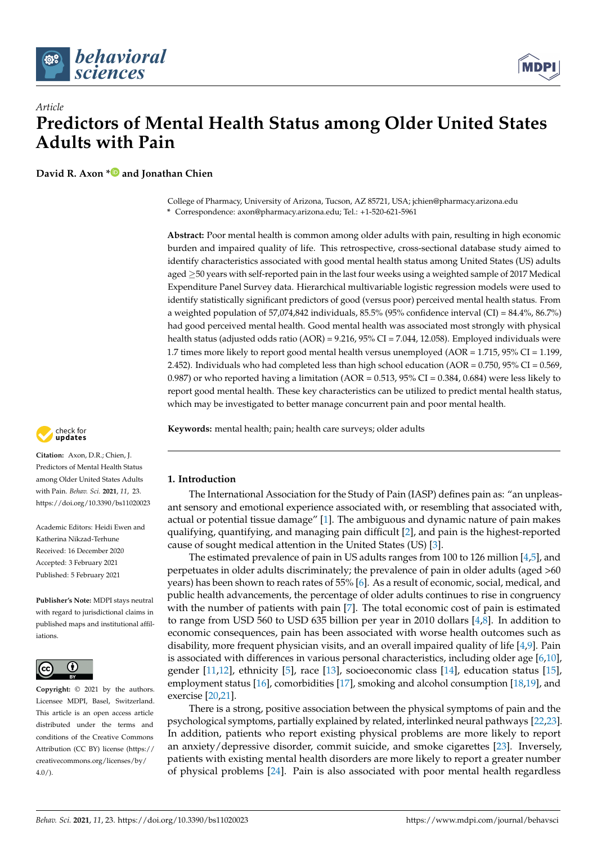



**David R. Axon [\\*](https://orcid.org/0000-0002-9903-5996) and Jonathan Chien**

College of Pharmacy, University of Arizona, Tucson, AZ 85721, USA; jchien@pharmacy.arizona.edu **\*** Correspondence: axon@pharmacy.arizona.edu; Tel.: +1-520-621-5961

**Abstract:** Poor mental health is common among older adults with pain, resulting in high economic burden and impaired quality of life. This retrospective, cross-sectional database study aimed to identify characteristics associated with good mental health status among United States (US) adults aged ≥50 years with self-reported pain in the last four weeks using a weighted sample of 2017 Medical Expenditure Panel Survey data. Hierarchical multivariable logistic regression models were used to identify statistically significant predictors of good (versus poor) perceived mental health status. From a weighted population of 57,074,842 individuals, 85.5% (95% confidence interval (CI) = 84.4%, 86.7%) had good perceived mental health. Good mental health was associated most strongly with physical health status (adjusted odds ratio (AOR) = 9.216, 95% CI = 7.044, 12.058). Employed individuals were 1.7 times more likely to report good mental health versus unemployed (AOR = 1.715, 95% CI = 1.199, 2.452). Individuals who had completed less than high school education ( $AOR = 0.750$ , 95% CI = 0.569, 0.987) or who reported having a limitation (AOR =  $0.513$ ,  $95\%$  CI =  $0.384$ ,  $0.684$ ) were less likely to report good mental health. These key characteristics can be utilized to predict mental health status, which may be investigated to better manage concurrent pain and poor mental health.

**Keywords:** mental health; pain; health care surveys; older adults

# **1. Introduction**

The International Association for the Study of Pain (IASP) defines pain as: "an unpleasant sensory and emotional experience associated with, or resembling that associated with, actual or potential tissue damage" [\[1\]](#page-7-0). The ambiguous and dynamic nature of pain makes qualifying, quantifying, and managing pain difficult [\[2\]](#page-7-1), and pain is the highest-reported cause of sought medical attention in the United States (US) [\[3\]](#page-7-2).

The estimated prevalence of pain in US adults ranges from 100 to 126 million [\[4](#page-7-3)[,5\]](#page-7-4), and perpetuates in older adults discriminately; the prevalence of pain in older adults (aged >60 years) has been shown to reach rates of 55% [\[6\]](#page-7-5). As a result of economic, social, medical, and public health advancements, the percentage of older adults continues to rise in congruency with the number of patients with pain [\[7\]](#page-7-6). The total economic cost of pain is estimated to range from USD 560 to USD 635 billion per year in 2010 dollars [\[4](#page-7-3)[,8\]](#page-8-0). In addition to economic consequences, pain has been associated with worse health outcomes such as disability, more frequent physician visits, and an overall impaired quality of life [\[4,](#page-7-3)[9\]](#page-8-1). Pain is associated with differences in various personal characteristics, including older age [\[6](#page-7-5)[,10\]](#page-8-2), gender [\[11](#page-8-3)[,12\]](#page-8-4), ethnicity [\[5\]](#page-7-4), race [\[13\]](#page-8-5), socioeconomic class [\[14\]](#page-8-6), education status [\[15\]](#page-8-7), employment status [\[16\]](#page-8-8), comorbidities [\[17\]](#page-8-9), smoking and alcohol consumption [\[18,](#page-8-10)[19\]](#page-8-11), and exercise [\[20](#page-8-12)[,21\]](#page-8-13).

There is a strong, positive association between the physical symptoms of pain and the psychological symptoms, partially explained by related, interlinked neural pathways [\[22](#page-8-14)[,23\]](#page-8-15). In addition, patients who report existing physical problems are more likely to report an anxiety/depressive disorder, commit suicide, and smoke cigarettes [\[23\]](#page-8-15). Inversely, patients with existing mental health disorders are more likely to report a greater number of physical problems [\[24\]](#page-8-16). Pain is also associated with poor mental health regardless



**Citation:** Axon, D.R.; Chien, J. Predictors of Mental Health Status among Older United States Adults with Pain. *Behav. Sci.* **2021**, *11*, 23. <https://doi.org/10.3390/bs11020023>

Academic Editors: Heidi Ewen and Katherina Nikzad-Terhune Received: 16 December 2020 Accepted: 3 February 2021 Published: 5 February 2021

**Publisher's Note:** MDPI stays neutral with regard to jurisdictional claims in published maps and institutional affiliations.



**Copyright:** © 2021 by the authors. Licensee MDPI, Basel, Switzerland. This article is an open access article distributed under the terms and conditions of the Creative Commons Attribution (CC BY) license (https:/[/](https://creativecommons.org/licenses/by/4.0/) [creativecommons.org/licenses/by/](https://creativecommons.org/licenses/by/4.0/)  $4.0/$ ).

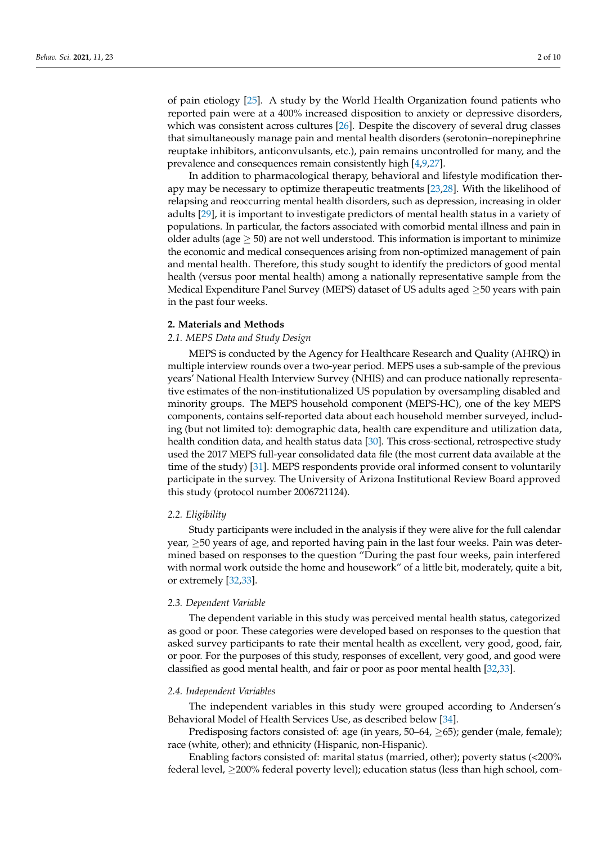of pain etiology [\[25\]](#page-8-17). A study by the World Health Organization found patients who reported pain were at a 400% increased disposition to anxiety or depressive disorders, which was consistent across cultures [\[26\]](#page-8-18). Despite the discovery of several drug classes that simultaneously manage pain and mental health disorders (serotonin–norepinephrine reuptake inhibitors, anticonvulsants, etc.), pain remains uncontrolled for many, and the prevalence and consequences remain consistently high [\[4,](#page-7-3)[9,](#page-8-1)[27\]](#page-8-19).

In addition to pharmacological therapy, behavioral and lifestyle modification therapy may be necessary to optimize therapeutic treatments [\[23](#page-8-15)[,28\]](#page-8-20). With the likelihood of relapsing and reoccurring mental health disorders, such as depression, increasing in older adults [\[29\]](#page-8-21), it is important to investigate predictors of mental health status in a variety of populations. In particular, the factors associated with comorbid mental illness and pain in older adults (age  $\geq$  50) are not well understood. This information is important to minimize the economic and medical consequences arising from non-optimized management of pain and mental health. Therefore, this study sought to identify the predictors of good mental health (versus poor mental health) among a nationally representative sample from the Medical Expenditure Panel Survey (MEPS) dataset of US adults aged ≥50 years with pain in the past four weeks.

# **2. Materials and Methods**

# *2.1. MEPS Data and Study Design*

MEPS is conducted by the Agency for Healthcare Research and Quality (AHRQ) in multiple interview rounds over a two-year period. MEPS uses a sub-sample of the previous years' National Health Interview Survey (NHIS) and can produce nationally representative estimates of the non-institutionalized US population by oversampling disabled and minority groups. The MEPS household component (MEPS-HC), one of the key MEPS components, contains self-reported data about each household member surveyed, including (but not limited to): demographic data, health care expenditure and utilization data, health condition data, and health status data [\[30\]](#page-8-22). This cross-sectional, retrospective study used the 2017 MEPS full-year consolidated data file (the most current data available at the time of the study) [\[31\]](#page-8-23). MEPS respondents provide oral informed consent to voluntarily participate in the survey. The University of Arizona Institutional Review Board approved this study (protocol number 2006721124).

## *2.2. Eligibility*

Study participants were included in the analysis if they were alive for the full calendar year, ≥50 years of age, and reported having pain in the last four weeks. Pain was determined based on responses to the question "During the past four weeks, pain interfered with normal work outside the home and housework" of a little bit, moderately, quite a bit, or extremely [\[32,](#page-8-24)[33\]](#page-8-25).

### *2.3. Dependent Variable*

The dependent variable in this study was perceived mental health status, categorized as good or poor. These categories were developed based on responses to the question that asked survey participants to rate their mental health as excellent, very good, good, fair, or poor. For the purposes of this study, responses of excellent, very good, and good were classified as good mental health, and fair or poor as poor mental health [\[32](#page-8-24)[,33\]](#page-8-25).

### *2.4. Independent Variables*

The independent variables in this study were grouped according to Andersen's Behavioral Model of Health Services Use, as described below [\[34\]](#page-8-26).

Predisposing factors consisted of: age (in years,  $50-64$ ,  $\geq 65$ ); gender (male, female); race (white, other); and ethnicity (Hispanic, non-Hispanic).

Enabling factors consisted of: marital status (married, other); poverty status (<200% federal level,  $\geq$ 200% federal poverty level); education status (less than high school, com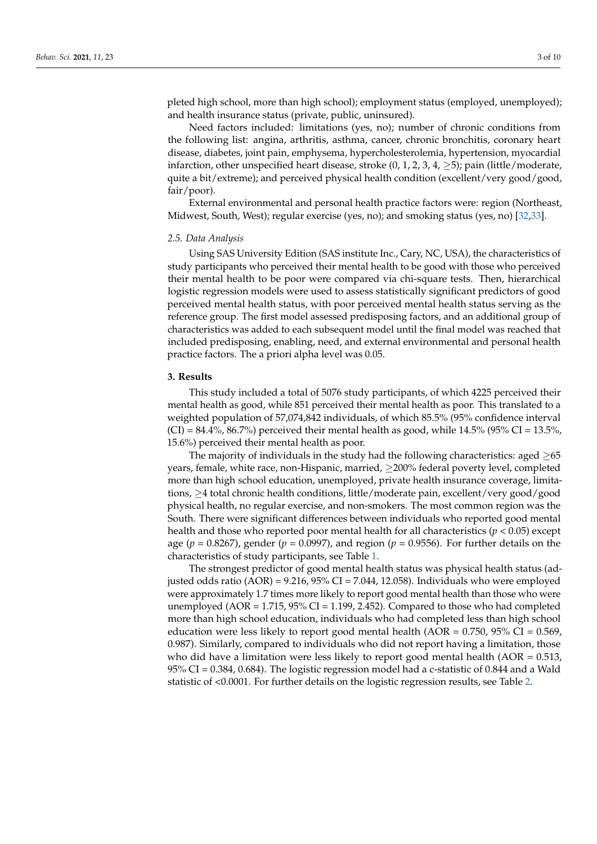pleted high school, more than high school); employment status (employed, unemployed); and health insurance status (private, public, uninsured).

Need factors included: limitations (yes, no); number of chronic conditions from the following list: angina, arthritis, asthma, cancer, chronic bronchitis, coronary heart disease, diabetes, joint pain, emphysema, hypercholesterolemia, hypertension, myocardial infarction, other unspecified heart disease, stroke  $(0, 1, 2, 3, 4, 5)$ ; pain (little/moderate, quite a bit/extreme); and perceived physical health condition (excellent/very good/good, fair/poor).

External environmental and personal health practice factors were: region (Northeast, Midwest, South, West); regular exercise (yes, no); and smoking status (yes, no) [\[32,](#page-8-24)[33\]](#page-8-25).

#### *2.5. Data Analysis*

Using SAS University Edition (SAS institute Inc., Cary, NC, USA), the characteristics of study participants who perceived their mental health to be good with those who perceived their mental health to be poor were compared via chi-square tests. Then, hierarchical logistic regression models were used to assess statistically significant predictors of good perceived mental health status, with poor perceived mental health status serving as the reference group. The first model assessed predisposing factors, and an additional group of characteristics was added to each subsequent model until the final model was reached that included predisposing, enabling, need, and external environmental and personal health practice factors. The a priori alpha level was 0.05.

## **3. Results**

This study included a total of 5076 study participants, of which 4225 perceived their mental health as good, while 851 perceived their mental health as poor. This translated to a weighted population of 57,074,842 individuals, of which 85.5% (95% confidence interval  $(CI) = 84.4\%$ , 86.7%) perceived their mental health as good, while 14.5% (95% CI = 13.5%, 15.6%) perceived their mental health as poor.

The majority of individuals in the study had the following characteristics: aged  $>65$ years, female, white race, non-Hispanic, married, ≥200% federal poverty level, completed more than high school education, unemployed, private health insurance coverage, limitations, ≥4 total chronic health conditions, little/moderate pain, excellent/very good/good physical health, no regular exercise, and non-smokers. The most common region was the South. There were significant differences between individuals who reported good mental health and those who reported poor mental health for all characteristics (*p* < 0.05) except age (*p* = 0.8267), gender (*p* = 0.0997), and region (*p* = 0.9556). For further details on the characteristics of study participants, see Table [1.](#page-4-0)

The strongest predictor of good mental health status was physical health status (adjusted odds ratio  $(AOR) = 9.216$ , 95% CI = 7.044, 12.058). Individuals who were employed were approximately 1.7 times more likely to report good mental health than those who were unemployed (AOR = 1.715, 95% CI = 1.199, 2.452). Compared to those who had completed more than high school education, individuals who had completed less than high school education were less likely to report good mental health ( $AOR = 0.750$ ,  $95\% CI = 0.569$ , 0.987). Similarly, compared to individuals who did not report having a limitation, those who did have a limitation were less likely to report good mental health  $(AOR = 0.513,$ 95% CI = 0.384, 0.684). The logistic regression model had a c-statistic of 0.844 and a Wald statistic of <0.0001. For further details on the logistic regression results, see Table [2.](#page-5-0)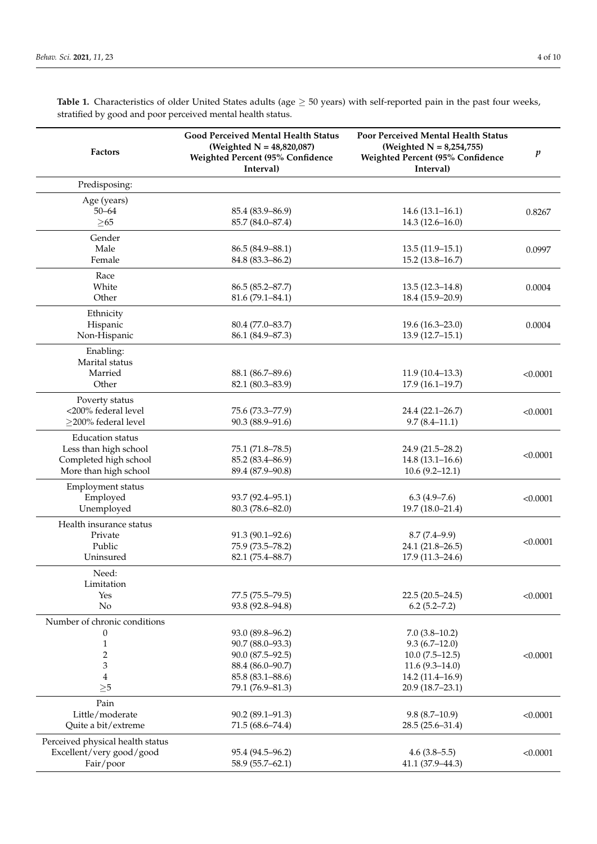**Table 1.** Characteristics of older United States adults (age ≥ 50 years) with self-reported pain in the past four weeks, stratified by good and poor perceived mental health status.

| <b>Factors</b>                   | <b>Good Perceived Mental Health Status</b><br>(Weighted $N = 48,820,087$ )<br>Weighted Percent (95% Confidence<br>Interval) | Poor Perceived Mental Health Status<br>(Weighted $N = 8,254,755$ )<br>Weighted Percent (95% Confidence<br>Interval) | $\boldsymbol{p}$ |
|----------------------------------|-----------------------------------------------------------------------------------------------------------------------------|---------------------------------------------------------------------------------------------------------------------|------------------|
| Predisposing:                    |                                                                                                                             |                                                                                                                     |                  |
| Age (years)                      |                                                                                                                             |                                                                                                                     |                  |
| $50 - 64$                        | 85.4 (83.9–86.9)                                                                                                            | $14.6(13.1 - 16.1)$                                                                                                 | 0.8267           |
| $\geq 65$                        | 85.7 (84.0-87.4)                                                                                                            | $14.3(12.6 - 16.0)$                                                                                                 |                  |
| Gender                           |                                                                                                                             |                                                                                                                     |                  |
| Male                             | 86.5 (84.9-88.1)                                                                                                            | $13.5(11.9-15.1)$                                                                                                   | 0.0997           |
| Female                           | 84.8 (83.3-86.2)                                                                                                            | $15.2(13.8-16.7)$                                                                                                   |                  |
| Race                             |                                                                                                                             |                                                                                                                     |                  |
| White                            | 86.5 (85.2-87.7)                                                                                                            | $13.5(12.3 - 14.8)$                                                                                                 | 0.0004           |
| Other                            | 81.6 (79.1-84.1)                                                                                                            | 18.4 (15.9-20.9)                                                                                                    |                  |
| Ethnicity                        |                                                                                                                             |                                                                                                                     |                  |
| Hispanic                         | 80.4 (77.0-83.7)                                                                                                            | $19.6(16.3 - 23.0)$                                                                                                 | 0.0004           |
| Non-Hispanic                     | 86.1 (84.9-87.3)                                                                                                            | $13.9(12.7-15.1)$                                                                                                   |                  |
| Enabling:                        |                                                                                                                             |                                                                                                                     |                  |
| Marital status                   |                                                                                                                             |                                                                                                                     |                  |
| Married                          | 88.1 (86.7–89.6)                                                                                                            | $11.9(10.4-13.3)$                                                                                                   | < 0.0001         |
| Other                            | 82.1 (80.3-83.9)                                                                                                            | $17.9(16.1-19.7)$                                                                                                   |                  |
| Poverty status                   |                                                                                                                             |                                                                                                                     |                  |
| <200% federal level              | 75.6 (73.3-77.9)                                                                                                            | 24.4 (22.1-26.7)                                                                                                    | < 0.0001         |
| $\geq$ 200% federal level        | 90.3 (88.9-91.6)                                                                                                            | $9.7(8.4-11.1)$                                                                                                     |                  |
| <b>Education</b> status          |                                                                                                                             |                                                                                                                     |                  |
| Less than high school            | 75.1 (71.8-78.5)                                                                                                            | 24.9 (21.5-28.2)                                                                                                    |                  |
| Completed high school            | 85.2 (83.4-86.9)                                                                                                            | $14.8(13.1 - 16.6)$                                                                                                 | < 0.0001         |
| More than high school            | 89.4 (87.9-90.8)                                                                                                            | $10.6(9.2 - 12.1)$                                                                                                  |                  |
| Employment status                |                                                                                                                             |                                                                                                                     |                  |
| Employed                         | 93.7 (92.4-95.1)                                                                                                            | $6.3(4.9 - 7.6)$                                                                                                    | < 0.0001         |
| Unemployed                       | 80.3 (78.6-82.0)                                                                                                            | 19.7 (18.0-21.4)                                                                                                    |                  |
| Health insurance status          |                                                                                                                             |                                                                                                                     |                  |
| Private                          | 91.3 (90.1-92.6)                                                                                                            | $8.7(7.4-9.9)$                                                                                                      | < 0.0001         |
| Public                           | 75.9 (73.5–78.2)                                                                                                            | 24.1 (21.8-26.5)                                                                                                    |                  |
| Uninsured                        | 82.1 (75.4-88.7)                                                                                                            | $17.9(11.3 - 24.6)$                                                                                                 |                  |
| Need:                            |                                                                                                                             |                                                                                                                     |                  |
| Limitation                       |                                                                                                                             |                                                                                                                     |                  |
| Yes                              | 77.5 (75.5-79.5)                                                                                                            | $22.5(20.5-24.5)$                                                                                                   | < 0.0001         |
| No                               | 93.8 (92.8-94.8)                                                                                                            | $6.2(5.2 - 7.2)$                                                                                                    |                  |
| Number of chronic conditions     |                                                                                                                             |                                                                                                                     |                  |
| $\theta$                         | 93.0 (89.8-96.2)                                                                                                            | $7.0(3.8-10.2)$                                                                                                     |                  |
| 1                                | 90.7 (88.0-93.3)                                                                                                            | $9.3(6.7-12.0)$                                                                                                     |                  |
| $\overline{c}$                   | 90.0 (87.5–92.5)                                                                                                            | $10.0 (7.5 - 12.5)$                                                                                                 | < 0.0001         |
| 3                                | 88.4 (86.0-90.7)                                                                                                            | $11.6(9.3 - 14.0)$                                                                                                  |                  |
| 4                                | 85.8 (83.1-88.6)                                                                                                            | 14.2 (11.4-16.9)                                                                                                    |                  |
| $\geq 5$                         | 79.1 (76.9-81.3)                                                                                                            | 20.9 (18.7-23.1)                                                                                                    |                  |
| Pain                             |                                                                                                                             |                                                                                                                     |                  |
| Little/moderate                  | $90.2(89.1-91.3)$                                                                                                           | $9.8(8.7-10.9)$                                                                                                     | < 0.0001         |
| Quite a bit/extreme              | 71.5 (68.6-74.4)                                                                                                            | 28.5 (25.6-31.4)                                                                                                    |                  |
| Perceived physical health status |                                                                                                                             |                                                                                                                     |                  |
| Excellent/very good/good         | 95.4 (94.5–96.2)                                                                                                            | $4.6(3.8-5.5)$                                                                                                      | < 0.0001         |
| Fair/poor                        | 58.9 (55.7-62.1)                                                                                                            | 41.1 (37.9-44.3)                                                                                                    |                  |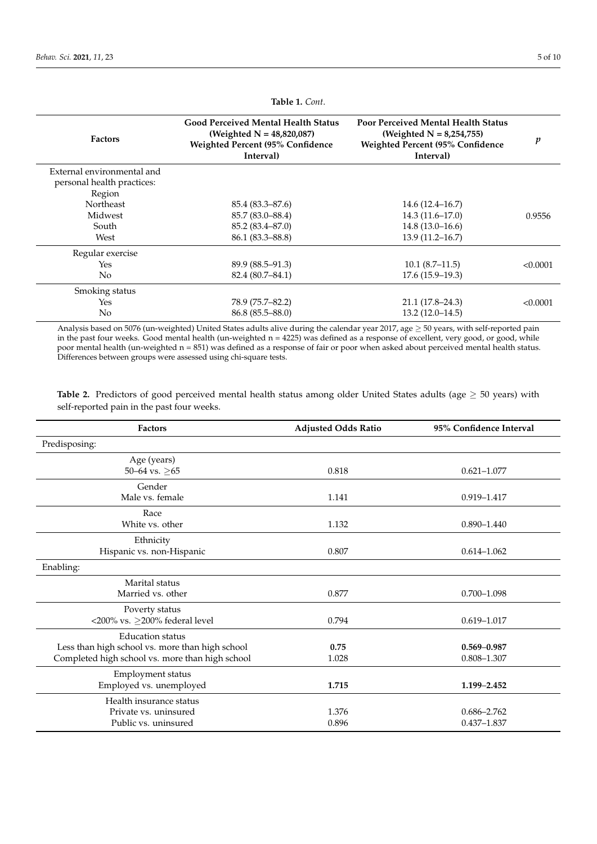<span id="page-4-0"></span>

| <b>Factors</b>                                                     | <b>Good Perceived Mental Health Status</b><br>(Weighted $N = 48,820,087$ )<br>Weighted Percent (95% Confidence<br>Interval) | <b>Poor Perceived Mental Health Status</b><br>(Weighted $N = 8,254,755$ )<br>Weighted Percent (95% Confidence<br>Interval) | p        |
|--------------------------------------------------------------------|-----------------------------------------------------------------------------------------------------------------------------|----------------------------------------------------------------------------------------------------------------------------|----------|
| External environmental and<br>personal health practices:<br>Region |                                                                                                                             |                                                                                                                            |          |
| Northeast                                                          | 85.4 (83.3–87.6)                                                                                                            | $14.6(12.4 - 16.7)$                                                                                                        |          |
| Midwest                                                            | 85.7 (83.0–88.4)                                                                                                            | $14.3(11.6 - 17.0)$                                                                                                        | 0.9556   |
| South                                                              | $85.2(83.4 - 87.0)$                                                                                                         | $14.8(13.0 - 16.6)$                                                                                                        |          |
| West                                                               | 86.1 (83.3–88.8)                                                                                                            | $13.9(11.2 - 16.7)$                                                                                                        |          |
| Regular exercise                                                   |                                                                                                                             |                                                                                                                            |          |
| Yes                                                                | $89.9(88.5-91.3)$                                                                                                           | $10.1(8.7-11.5)$                                                                                                           | < 0.0001 |
| N <sub>0</sub>                                                     | 82.4 (80.7–84.1)                                                                                                            | $17.6(15.9-19.3)$                                                                                                          |          |
| Smoking status                                                     |                                                                                                                             |                                                                                                                            |          |
| Yes                                                                | 78.9 (75.7–82.2)                                                                                                            | $21.1(17.8-24.3)$                                                                                                          | < 0.0001 |
| No                                                                 | $86.8(85.5 - 88.0)$                                                                                                         | $13.2(12.0-14.5)$                                                                                                          |          |

**Table 1.** *Cont*.

Analysis based on 5076 (un-weighted) United States adults alive during the calendar year 2017, age ≥ 50 years, with self-reported pain in the past four weeks. Good mental health (un-weighted n = 4225) was defined as a response of excellent, very good, or good, while poor mental health (un-weighted n = 851) was defined as a response of fair or poor when asked about perceived mental health status. Differences between groups were assessed using chi-square tests.

**Table 2.** Predictors of good perceived mental health status among older United States adults (age ≥ 50 years) with self-reported pain in the past four weeks.

| <b>Factors</b>                                  | <b>Adjusted Odds Ratio</b> | 95% Confidence Interval |  |
|-------------------------------------------------|----------------------------|-------------------------|--|
| Predisposing:                                   |                            |                         |  |
| Age (years)                                     |                            |                         |  |
| 50–64 vs. $\geq 65$                             | 0.818                      | $0.621 - 1.077$         |  |
| Gender                                          |                            |                         |  |
| Male vs. female                                 | 1.141                      | 0.919-1.417             |  |
| Race                                            |                            |                         |  |
| White vs. other                                 | 1.132                      | $0.890 - 1.440$         |  |
| Ethnicity                                       |                            |                         |  |
| Hispanic vs. non-Hispanic                       | 0.807                      | $0.614 - 1.062$         |  |
| Enabling:                                       |                            |                         |  |
| Marital status                                  |                            |                         |  |
| Married vs. other                               | 0.877                      | $0.700 - 1.098$         |  |
| Poverty status                                  |                            |                         |  |
| <200% vs. ≥200% federal level                   | 0.794                      | $0.619 - 1.017$         |  |
| <b>Education status</b>                         |                            |                         |  |
| Less than high school vs. more than high school | 0.75                       | $0.569 - 0.987$         |  |
| Completed high school vs. more than high school | 1.028                      | 0.808-1.307             |  |
| Employment status                               |                            |                         |  |
| Employed vs. unemployed                         | 1.715                      | 1.199-2.452             |  |
| Health insurance status                         |                            |                         |  |
| Private vs. uninsured                           | 1.376                      | $0.686 - 2.762$         |  |
| Public vs. uninsured                            | 0.896                      | $0.437 - 1.837$         |  |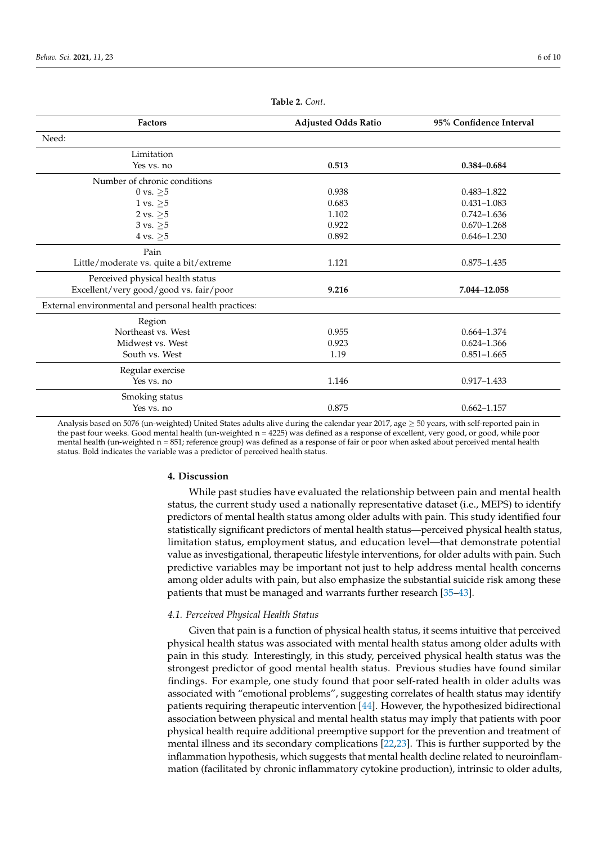<span id="page-5-0"></span>

| <b>Factors</b>                                        | <b>Adjusted Odds Ratio</b> | 95% Confidence Interval |
|-------------------------------------------------------|----------------------------|-------------------------|
| Need:                                                 |                            |                         |
| Limitation                                            |                            |                         |
| Yes vs. no                                            | 0.513                      | $0.384 - 0.684$         |
| Number of chronic conditions                          |                            |                         |
| 0 vs. $\geq 5$                                        | 0.938                      | $0.483 - 1.822$         |
| 1 vs. $\geq 5$                                        | 0.683                      | $0.431 - 1.083$         |
| 2 vs. $\geq 5$                                        | 1.102                      | $0.742 - 1.636$         |
| $3 \text{ vs. } \geq 5$                               | 0.922                      | $0.670 - 1.268$         |
| $4 \text{ vs. } \geq 5$                               | 0.892                      | $0.646 - 1.230$         |
| Pain                                                  |                            |                         |
| Little/moderate vs. quite a bit/extreme               | 1.121                      | $0.875 - 1.435$         |
| Perceived physical health status                      |                            |                         |
| Excellent/very good/good vs. fair/poor                | 9.216                      | 7.044-12.058            |
| External environmental and personal health practices: |                            |                         |
| Region                                                |                            |                         |
| Northeast vs. West                                    | 0.955                      | $0.664 - 1.374$         |
| Midwest vs. West                                      | 0.923                      | $0.624 - 1.366$         |
| South vs. West                                        | 1.19                       | $0.851 - 1.665$         |
| Regular exercise                                      |                            |                         |
| Yes vs. no                                            | 1.146                      | $0.917 - 1.433$         |
| Smoking status                                        |                            |                         |
| Yes vs. no                                            | 0.875                      | $0.662 - 1.157$         |

**Table 2.** *Cont*.

Analysis based on 5076 (un-weighted) United States adults alive during the calendar year 2017, age  $\geq$  50 years, with self-reported pain in the past four weeks. Good mental health (un-weighted n = 4225) was defined as a response of excellent, very good, or good, while poor mental health (un-weighted n = 851; reference group) was defined as a response of fair or poor when asked about perceived mental health status. Bold indicates the variable was a predictor of perceived health status.

# **4. Discussion**

While past studies have evaluated the relationship between pain and mental health status, the current study used a nationally representative dataset (i.e., MEPS) to identify predictors of mental health status among older adults with pain. This study identified four statistically significant predictors of mental health status—perceived physical health status, limitation status, employment status, and education level—that demonstrate potential value as investigational, therapeutic lifestyle interventions, for older adults with pain. Such predictive variables may be important not just to help address mental health concerns among older adults with pain, but also emphasize the substantial suicide risk among these patients that must be managed and warrants further research [\[35](#page-8-27)[–43\]](#page-9-0).

### *4.1. Perceived Physical Health Status*

Given that pain is a function of physical health status, it seems intuitive that perceived physical health status was associated with mental health status among older adults with pain in this study. Interestingly, in this study, perceived physical health status was the strongest predictor of good mental health status. Previous studies have found similar findings. For example, one study found that poor self-rated health in older adults was associated with "emotional problems", suggesting correlates of health status may identify patients requiring therapeutic intervention [\[44\]](#page-9-1). However, the hypothesized bidirectional association between physical and mental health status may imply that patients with poor physical health require additional preemptive support for the prevention and treatment of mental illness and its secondary complications [\[22,](#page-8-14)[23\]](#page-8-15). This is further supported by the inflammation hypothesis, which suggests that mental health decline related to neuroinflammation (facilitated by chronic inflammatory cytokine production), intrinsic to older adults,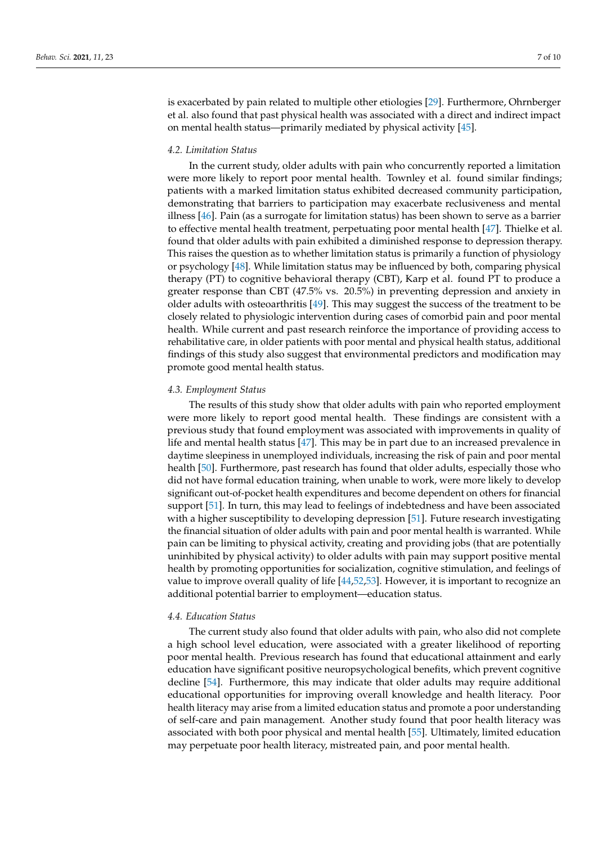is exacerbated by pain related to multiple other etiologies [\[29\]](#page-8-21). Furthermore, Ohrnberger et al. also found that past physical health was associated with a direct and indirect impact on mental health status—primarily mediated by physical activity [\[45\]](#page-9-2).

# *4.2. Limitation Status*

In the current study, older adults with pain who concurrently reported a limitation were more likely to report poor mental health. Townley et al. found similar findings; patients with a marked limitation status exhibited decreased community participation, demonstrating that barriers to participation may exacerbate reclusiveness and mental illness [\[46\]](#page-9-3). Pain (as a surrogate for limitation status) has been shown to serve as a barrier to effective mental health treatment, perpetuating poor mental health [\[47\]](#page-9-4). Thielke et al. found that older adults with pain exhibited a diminished response to depression therapy. This raises the question as to whether limitation status is primarily a function of physiology or psychology [\[48\]](#page-9-5). While limitation status may be influenced by both, comparing physical therapy (PT) to cognitive behavioral therapy (CBT), Karp et al. found PT to produce a greater response than CBT (47.5% vs. 20.5%) in preventing depression and anxiety in older adults with osteoarthritis [\[49\]](#page-9-6). This may suggest the success of the treatment to be closely related to physiologic intervention during cases of comorbid pain and poor mental health. While current and past research reinforce the importance of providing access to rehabilitative care, in older patients with poor mental and physical health status, additional findings of this study also suggest that environmental predictors and modification may promote good mental health status.

# *4.3. Employment Status*

The results of this study show that older adults with pain who reported employment were more likely to report good mental health. These findings are consistent with a previous study that found employment was associated with improvements in quality of life and mental health status [\[47\]](#page-9-4). This may be in part due to an increased prevalence in daytime sleepiness in unemployed individuals, increasing the risk of pain and poor mental health [\[50\]](#page-9-7). Furthermore, past research has found that older adults, especially those who did not have formal education training, when unable to work, were more likely to develop significant out-of-pocket health expenditures and become dependent on others for financial support [\[51\]](#page-9-8). In turn, this may lead to feelings of indebtedness and have been associated with a higher susceptibility to developing depression [\[51\]](#page-9-8). Future research investigating the financial situation of older adults with pain and poor mental health is warranted. While pain can be limiting to physical activity, creating and providing jobs (that are potentially uninhibited by physical activity) to older adults with pain may support positive mental health by promoting opportunities for socialization, cognitive stimulation, and feelings of value to improve overall quality of life [\[44](#page-9-1)[,52,](#page-9-9)[53\]](#page-9-10). However, it is important to recognize an additional potential barrier to employment—education status.

### *4.4. Education Status*

The current study also found that older adults with pain, who also did not complete a high school level education, were associated with a greater likelihood of reporting poor mental health. Previous research has found that educational attainment and early education have significant positive neuropsychological benefits, which prevent cognitive decline [\[54\]](#page-9-11). Furthermore, this may indicate that older adults may require additional educational opportunities for improving overall knowledge and health literacy. Poor health literacy may arise from a limited education status and promote a poor understanding of self-care and pain management. Another study found that poor health literacy was associated with both poor physical and mental health [\[55\]](#page-9-12). Ultimately, limited education may perpetuate poor health literacy, mistreated pain, and poor mental health.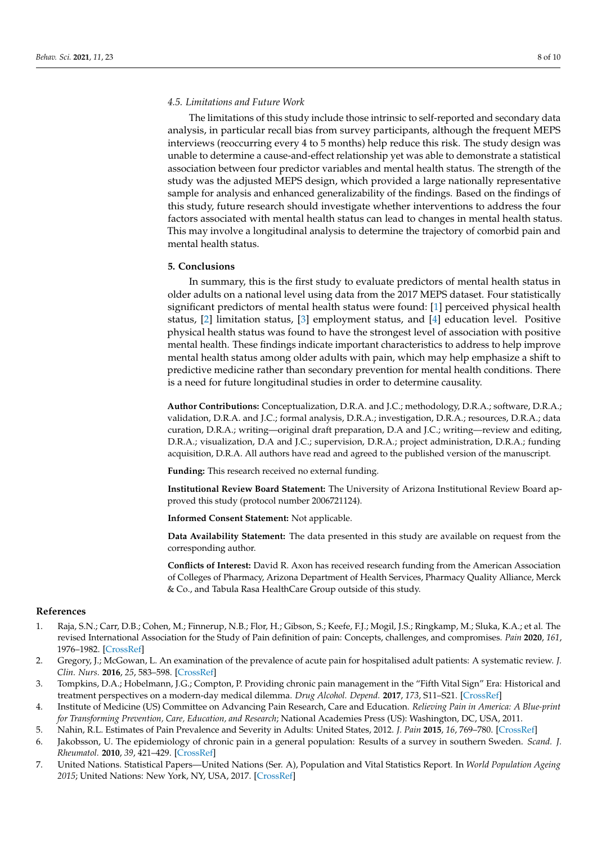# *4.5. Limitations and Future Work*

The limitations of this study include those intrinsic to self-reported and secondary data analysis, in particular recall bias from survey participants, although the frequent MEPS interviews (reoccurring every 4 to 5 months) help reduce this risk. The study design was unable to determine a cause-and-effect relationship yet was able to demonstrate a statistical association between four predictor variables and mental health status. The strength of the study was the adjusted MEPS design, which provided a large nationally representative sample for analysis and enhanced generalizability of the findings. Based on the findings of this study, future research should investigate whether interventions to address the four factors associated with mental health status can lead to changes in mental health status. This may involve a longitudinal analysis to determine the trajectory of comorbid pain and mental health status.

### **5. Conclusions**

In summary, this is the first study to evaluate predictors of mental health status in older adults on a national level using data from the 2017 MEPS dataset. Four statistically significant predictors of mental health status were found: [\[1\]](#page-7-0) perceived physical health status, [\[2\]](#page-7-1) limitation status, [\[3\]](#page-7-2) employment status, and [\[4\]](#page-7-3) education level. Positive physical health status was found to have the strongest level of association with positive mental health. These findings indicate important characteristics to address to help improve mental health status among older adults with pain, which may help emphasize a shift to predictive medicine rather than secondary prevention for mental health conditions. There is a need for future longitudinal studies in order to determine causality.

**Author Contributions:** Conceptualization, D.R.A. and J.C.; methodology, D.R.A.; software, D.R.A.; validation, D.R.A. and J.C.; formal analysis, D.R.A.; investigation, D.R.A.; resources, D.R.A.; data curation, D.R.A.; writing—original draft preparation, D.A and J.C.; writing—review and editing, D.R.A.; visualization, D.A and J.C.; supervision, D.R.A.; project administration, D.R.A.; funding acquisition, D.R.A. All authors have read and agreed to the published version of the manuscript.

**Funding:** This research received no external funding.

**Institutional Review Board Statement:** The University of Arizona Institutional Review Board approved this study (protocol number 2006721124).

**Informed Consent Statement:** Not applicable.

**Data Availability Statement:** The data presented in this study are available on request from the corresponding author.

**Conflicts of Interest:** David R. Axon has received research funding from the American Association of Colleges of Pharmacy, Arizona Department of Health Services, Pharmacy Quality Alliance, Merck & Co., and Tabula Rasa HealthCare Group outside of this study.

# **References**

- <span id="page-7-0"></span>1. Raja, S.N.; Carr, D.B.; Cohen, M.; Finnerup, N.B.; Flor, H.; Gibson, S.; Keefe, F.J.; Mogil, J.S.; Ringkamp, M.; Sluka, K.A.; et al. The revised International Association for the Study of Pain definition of pain: Concepts, challenges, and compromises. *Pain* **2020**, *161*, 1976–1982. [\[CrossRef\]](http://doi.org/10.1097/j.pain.0000000000001939)
- <span id="page-7-1"></span>2. Gregory, J.; McGowan, L. An examination of the prevalence of acute pain for hospitalised adult patients: A systematic review. *J. Clin. Nurs.* **2016**, *25*, 583–598. [\[CrossRef\]](http://doi.org/10.1111/jocn.13094)
- <span id="page-7-2"></span>3. Tompkins, D.A.; Hobelmann, J.G.; Compton, P. Providing chronic pain management in the "Fifth Vital Sign" Era: Historical and treatment perspectives on a modern-day medical dilemma. *Drug Alcohol. Depend.* **2017**, *173*, S11–S21. [\[CrossRef\]](http://doi.org/10.1016/j.drugalcdep.2016.12.002)
- <span id="page-7-3"></span>4. Institute of Medicine (US) Committee on Advancing Pain Research, Care and Education. *Relieving Pain in America: A Blue-print for Transforming Prevention, Care, Education, and Research*; National Academies Press (US): Washington, DC, USA, 2011.
- <span id="page-7-4"></span>5. Nahin, R.L. Estimates of Pain Prevalence and Severity in Adults: United States, 2012. *J. Pain* **2015**, *16*, 769–780. [\[CrossRef\]](http://doi.org/10.1016/j.jpain.2015.05.002)
- <span id="page-7-5"></span>6. Jakobsson, U. The epidemiology of chronic pain in a general population: Results of a survey in southern Sweden. *Scand. J. Rheumatol.* **2010**, *39*, 421–429. [\[CrossRef\]](http://doi.org/10.3109/03009741003685616)
- <span id="page-7-6"></span>7. United Nations. Statistical Papers—United Nations (Ser. A), Population and Vital Statistics Report. In *World Population Ageing 2015*; United Nations: New York, NY, USA, 2017. [\[CrossRef\]](http://doi.org/10.18356/88fa44e7-en)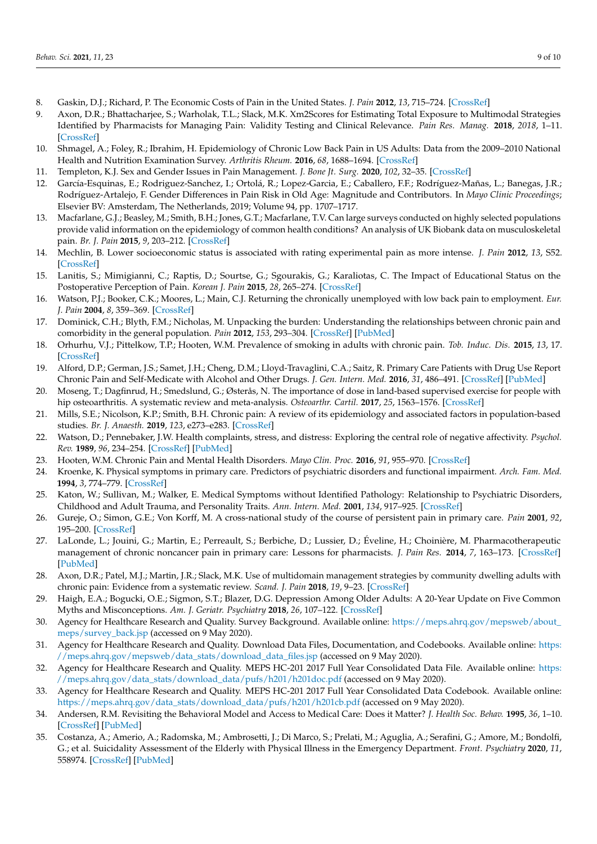- <span id="page-8-0"></span>8. Gaskin, D.J.; Richard, P. The Economic Costs of Pain in the United States. *J. Pain* **2012**, *13*, 715–724. [\[CrossRef\]](http://doi.org/10.1016/j.jpain.2012.03.009)
- <span id="page-8-1"></span>9. Axon, D.R.; Bhattacharjee, S.; Warholak, T.L.; Slack, M.K. Xm2Scores for Estimating Total Exposure to Multimodal Strategies Identified by Pharmacists for Managing Pain: Validity Testing and Clinical Relevance. *Pain Res. Manag.* **2018**, *2018*, 1–11. [\[CrossRef\]](http://doi.org/10.1155/2018/2530286)
- <span id="page-8-2"></span>10. Shmagel, A.; Foley, R.; Ibrahim, H. Epidemiology of Chronic Low Back Pain in US Adults: Data from the 2009–2010 National Health and Nutrition Examination Survey. *Arthritis Rheum.* **2016**, *68*, 1688–1694. [\[CrossRef\]](http://doi.org/10.1002/acr.22890)
- <span id="page-8-3"></span>11. Templeton, K.J. Sex and Gender Issues in Pain Management. *J. Bone Jt. Surg.* **2020**, *102*, 32–35. [\[CrossRef\]](http://doi.org/10.2106/JBJS.20.00237)
- <span id="page-8-4"></span>12. García-Esquinas, E.; Rodriguez-Sanchez, I.; Ortolá, R.; Lopez-Garcia, E.; Caballero, F.F.; Rodríguez-Mañas, L.; Banegas, J.R.; Rodríguez-Artalejo, F. Gender Differences in Pain Risk in Old Age: Magnitude and Contributors. In *Mayo Clinic Proceedings*; Elsevier BV: Amsterdam, The Netherlands, 2019; Volume 94, pp. 1707–1717.
- <span id="page-8-5"></span>13. Macfarlane, G.J.; Beasley, M.; Smith, B.H.; Jones, G.T.; Macfarlane, T.V. Can large surveys conducted on highly selected populations provide valid information on the epidemiology of common health conditions? An analysis of UK Biobank data on musculoskeletal pain. *Br. J. Pain* **2015**, *9*, 203–212. [\[CrossRef\]](http://doi.org/10.1177/2049463715569806)
- <span id="page-8-6"></span>14. Mechlin, B. Lower socioeconomic status is associated with rating experimental pain as more intense. *J. Pain* **2012**, *13*, S52. [\[CrossRef\]](http://doi.org/10.1016/j.jpain.2012.01.218)
- <span id="page-8-7"></span>15. Lanitis, S.; Mimigianni, C.; Raptis, D.; Sourtse, G.; Sgourakis, G.; Karaliotas, C. The Impact of Educational Status on the Postoperative Perception of Pain. *Korean J. Pain* **2015**, *28*, 265–274. [\[CrossRef\]](http://doi.org/10.3344/kjp.2015.28.4.265)
- <span id="page-8-8"></span>16. Watson, P.J.; Booker, C.K.; Moores, L.; Main, C.J. Returning the chronically unemployed with low back pain to employment. *Eur. J. Pain* **2004**, *8*, 359–369. [\[CrossRef\]](http://doi.org/10.1016/j.ejpain.2003.11.003)
- <span id="page-8-9"></span>17. Dominick, C.H.; Blyth, F.M.; Nicholas, M. Unpacking the burden: Understanding the relationships between chronic pain and comorbidity in the general population. *Pain* **2012**, *153*, 293–304. [\[CrossRef\]](http://doi.org/10.1016/j.pain.2011.09.018) [\[PubMed\]](http://www.ncbi.nlm.nih.gov/pubmed/22071318)
- <span id="page-8-10"></span>18. Orhurhu, V.J.; Pittelkow, T.P.; Hooten, W.M. Prevalence of smoking in adults with chronic pain. *Tob. Induc. Dis.* **2015**, *13*, 17. [\[CrossRef\]](http://doi.org/10.1186/s12971-015-0042-y)
- <span id="page-8-11"></span>19. Alford, D.P.; German, J.S.; Samet, J.H.; Cheng, D.M.; Lloyd-Travaglini, C.A.; Saitz, R. Primary Care Patients with Drug Use Report Chronic Pain and Self-Medicate with Alcohol and Other Drugs. *J. Gen. Intern. Med.* **2016**, *31*, 486–491. [\[CrossRef\]](http://doi.org/10.1007/s11606-016-3586-5) [\[PubMed\]](http://www.ncbi.nlm.nih.gov/pubmed/26809204)
- <span id="page-8-12"></span>20. Moseng, T.; Dagfinrud, H.; Smedslund, G.; Østerås, N. The importance of dose in land-based supervised exercise for people with hip osteoarthritis. A systematic review and meta-analysis. *Osteoarthr. Cartil.* **2017**, *25*, 1563–1576. [\[CrossRef\]](http://doi.org/10.1016/j.joca.2017.06.004)
- <span id="page-8-13"></span>21. Mills, S.E.; Nicolson, K.P.; Smith, B.H. Chronic pain: A review of its epidemiology and associated factors in population-based studies. *Br. J. Anaesth.* **2019**, *123*, e273–e283. [\[CrossRef\]](http://doi.org/10.1016/j.bja.2019.03.023)
- <span id="page-8-14"></span>22. Watson, D.; Pennebaker, J.W. Health complaints, stress, and distress: Exploring the central role of negative affectivity. *Psychol. Rev.* **1989**, *96*, 234–254. [\[CrossRef\]](http://doi.org/10.1037/0033-295X.96.2.234) [\[PubMed\]](http://www.ncbi.nlm.nih.gov/pubmed/2710874)
- <span id="page-8-15"></span>23. Hooten, W.M. Chronic Pain and Mental Health Disorders. *Mayo Clin. Proc.* **2016**, *91*, 955–970. [\[CrossRef\]](http://doi.org/10.1016/j.mayocp.2016.04.029)
- <span id="page-8-16"></span>24. Kroenke, K. Physical symptoms in primary care. Predictors of psychiatric disorders and functional impairment. *Arch. Fam. Med.* **1994**, *3*, 774–779. [\[CrossRef\]](http://doi.org/10.1001/archfami.3.9.774)
- <span id="page-8-17"></span>25. Katon, W.; Sullivan, M.; Walker, E. Medical Symptoms without Identified Pathology: Relationship to Psychiatric Disorders, Childhood and Adult Trauma, and Personality Traits. *Ann. Intern. Med.* **2001**, *134*, 917–925. [\[CrossRef\]](http://doi.org/10.7326/0003-4819-134-9_Part_2-200105011-00017)
- <span id="page-8-18"></span>26. Gureje, O.; Simon, G.E.; Von Korff, M. A cross-national study of the course of persistent pain in primary care. *Pain* **2001**, *92*, 195–200. [\[CrossRef\]](http://doi.org/10.1016/S0304-3959(00)00483-8)
- <span id="page-8-19"></span>27. LaLonde, L.; Jouini, G.; Martin, E.; Perreault, S.; Berbiche, D.; Lussier, D.; Éveline, H.; Choinière, M. Pharmacotherapeutic management of chronic noncancer pain in primary care: Lessons for pharmacists. *J. Pain Res.* **2014**, *7*, 163–173. [\[CrossRef\]](http://doi.org/10.2147/JPR.S56884) [\[PubMed\]](http://www.ncbi.nlm.nih.gov/pubmed/24711711)
- <span id="page-8-20"></span>28. Axon, D.R.; Patel, M.J.; Martin, J.R.; Slack, M.K. Use of multidomain management strategies by community dwelling adults with chronic pain: Evidence from a systematic review. *Scand. J. Pain* **2018**, *19*, 9–23. [\[CrossRef\]](http://doi.org/10.1515/sjpain-2018-0306)
- <span id="page-8-21"></span>29. Haigh, E.A.; Bogucki, O.E.; Sigmon, S.T.; Blazer, D.G. Depression Among Older Adults: A 20-Year Update on Five Common Myths and Misconceptions. *Am. J. Geriatr. Psychiatry* **2018**, *26*, 107–122. [\[CrossRef\]](http://doi.org/10.1016/j.jagp.2017.06.011)
- <span id="page-8-22"></span>30. Agency for Healthcare Research and Quality. Survey Background. Available online: [https://meps.ahrq.gov/mepsweb/about\\_](https://meps.ahrq.gov/mepsweb/about_meps/survey_back.jsp) [meps/survey\\_back.jsp](https://meps.ahrq.gov/mepsweb/about_meps/survey_back.jsp) (accessed on 9 May 2020).
- <span id="page-8-23"></span>31. Agency for Healthcare Research and Quality. Download Data Files, Documentation, and Codebooks. Available online: [https:](https://meps.ahrq.gov/mepsweb/data_stats/download_data_files.jsp) [//meps.ahrq.gov/mepsweb/data\\_stats/download\\_data\\_files.jsp](https://meps.ahrq.gov/mepsweb/data_stats/download_data_files.jsp) (accessed on 9 May 2020).
- <span id="page-8-24"></span>32. Agency for Healthcare Research and Quality. MEPS HC-201 2017 Full Year Consolidated Data File. Available online: [https:](https://meps.ahrq.gov/data_stats/download_data/pufs/h201/h201doc.pdf) [//meps.ahrq.gov/data\\_stats/download\\_data/pufs/h201/h201doc.pdf](https://meps.ahrq.gov/data_stats/download_data/pufs/h201/h201doc.pdf) (accessed on 9 May 2020).
- <span id="page-8-25"></span>33. Agency for Healthcare Research and Quality. MEPS HC-201 2017 Full Year Consolidated Data Codebook. Available online: [https://meps.ahrq.gov/data\\_stats/download\\_data/pufs/h201/h201cb.pdf](https://meps.ahrq.gov/data_stats/download_data/pufs/h201/h201cb.pdf) (accessed on 9 May 2020).
- <span id="page-8-26"></span>34. Andersen, R.M. Revisiting the Behavioral Model and Access to Medical Care: Does it Matter? *J. Health Soc. Behav.* **1995**, *36*, 1–10. [\[CrossRef\]](http://doi.org/10.2307/2137284) [\[PubMed\]](http://www.ncbi.nlm.nih.gov/pubmed/7738325)
- <span id="page-8-27"></span>35. Costanza, A.; Amerio, A.; Radomska, M.; Ambrosetti, J.; Di Marco, S.; Prelati, M.; Aguglia, A.; Serafini, G.; Amore, M.; Bondolfi, G.; et al. Suicidality Assessment of the Elderly with Physical Illness in the Emergency Department. *Front. Psychiatry* **2020**, *11*, 558974. [\[CrossRef\]](http://doi.org/10.3389/fpsyt.2020.558974) [\[PubMed\]](http://www.ncbi.nlm.nih.gov/pubmed/33024437)